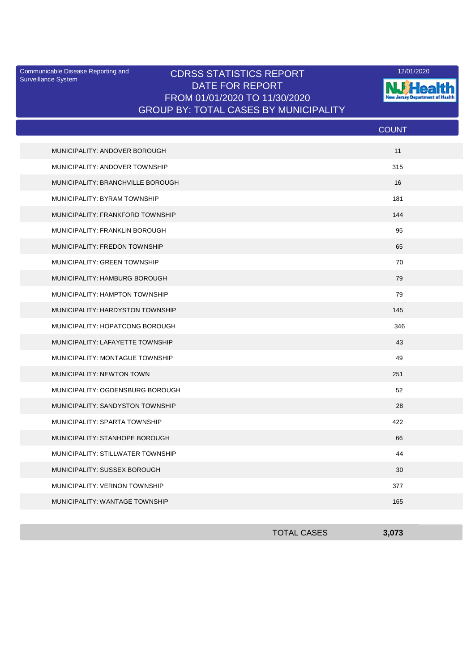Surveillance System

## Communicable Disease Reporting and **CDRSS STATISTICS REPORT** 12/01/2020<br>Surveillance Statem DATE FOR REPORT FROM 01/01/2020 TO 11/30/2020 GROUP BY: TOTAL CASES BY MUNICIPALITY



|                                   | <b>COUNT</b> |
|-----------------------------------|--------------|
| MUNICIPALITY: ANDOVER BOROUGH     | 11           |
| MUNICIPALITY: ANDOVER TOWNSHIP    | 315          |
| MUNICIPALITY: BRANCHVILLE BOROUGH | 16           |
| MUNICIPALITY: BYRAM TOWNSHIP      | 181          |
| MUNICIPALITY: FRANKFORD TOWNSHIP  | 144          |
| MUNICIPALITY: FRANKLIN BOROUGH    | 95           |
| MUNICIPALITY: FREDON TOWNSHIP     | 65           |
| MUNICIPALITY: GREEN TOWNSHIP      | 70           |
| MUNICIPALITY: HAMBURG BOROUGH     | 79           |
| MUNICIPALITY: HAMPTON TOWNSHIP    | 79           |
| MUNICIPALITY: HARDYSTON TOWNSHIP  | 145          |
| MUNICIPALITY: HOPATCONG BOROUGH   | 346          |
| MUNICIPALITY: LAFAYETTE TOWNSHIP  | 43           |
| MUNICIPALITY: MONTAGUE TOWNSHIP   | 49           |
| MUNICIPALITY: NEWTON TOWN         | 251          |
| MUNICIPALITY: OGDENSBURG BOROUGH  | 52           |
| MUNICIPALITY: SANDYSTON TOWNSHIP  | 28           |
| MUNICIPALITY: SPARTA TOWNSHIP     | 422          |
| MUNICIPALITY: STANHOPE BOROUGH    | 66           |
| MUNICIPALITY: STILLWATER TOWNSHIP | 44           |
| MUNICIPALITY: SUSSEX BOROUGH      | 30           |
| MUNICIPALITY: VERNON TOWNSHIP     | 377          |
| MUNICIPALITY: WANTAGE TOWNSHIP    | 165          |
|                                   |              |

| <b>TOTAL CASES</b> | 3,073 |
|--------------------|-------|
|                    |       |